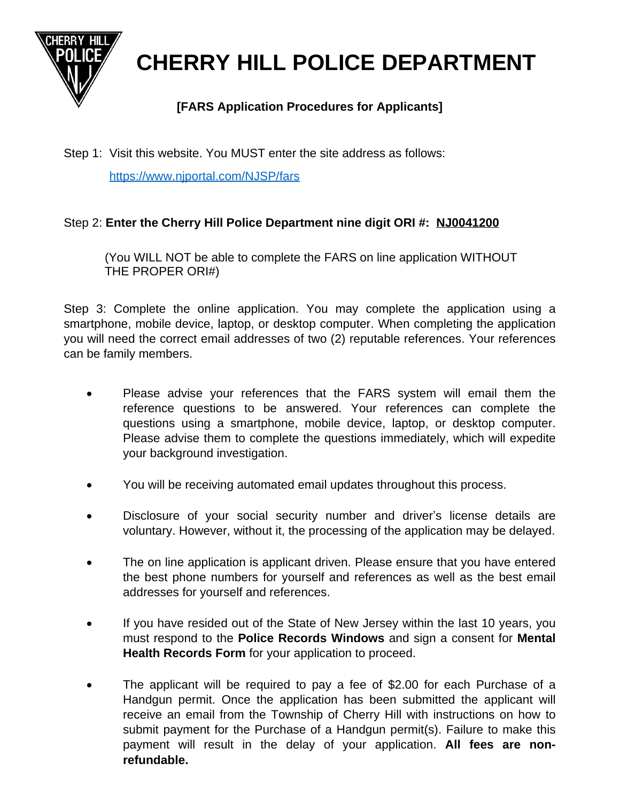

**CHERRY HILL POLICE DEPARTMENT**

## **[FARS Application Procedures for Applicants]**

Step 1: Visit this website. You MUST enter the site address as follows:

<https://www.njportal.com/NJSP/fars>

## [Step 2:](https://www.njportal.com/NJSP/fars) **[Enter the Cherry Hill Police Department nine digit ORI #: NJ0041200](https://www.njportal.com/NJSP/fars)**

[\(You WILL NOT be able to complete the FARS on line application WITHOUT](https://www.njportal.com/NJSP/fars) [THE PROPER ORI#\)](https://www.njportal.com/NJSP/fars)

Step 3: Complete the online [application.](https://www.njportal.com/NJSP/fars) You may complete the application using a [smartphone,](https://www.njportal.com/NJSP/fars) mobile device, laptop, or desktop computer. When completing the application you will [need](https://www.njportal.com/NJSP/fars) the [correct](https://www.njportal.com/NJSP/fars) email [addresses](https://www.njportal.com/NJSP/fars) of [two](https://www.njportal.com/NJSP/fars) [\(2\)](https://www.njportal.com/NJSP/fars) reputable [references.](https://www.njportal.com/NJSP/fars) Your refere[nces](https://www.njportal.com/NJSP/fars) [can be family members.](https://www.njportal.com/NJSP/fars)

- Please advise your [references](https://www.njportal.com/NJSP/fars) that the FARS system will email them the reference questions to be answered. Your [references](https://www.njportal.com/NJSP/fars) can complete the questions using a [smartphone,](https://www.njportal.com/NJSP/fars) mobile device, laptop, or desktop computer. Please advise them to complete the [questions](https://www.njportal.com/NJSP/fars) [immediately,](https://www.njportal.com/NJSP/fars) which will [expedite](https://www.njportal.com/NJSP/fars) [your background investigation.](https://www.njportal.com/NJSP/fars)
- [You will be receiving automated email updates throughout this process.](https://www.njportal.com/NJSP/fars)
- [Disclosure](https://www.njportal.com/NJSP/fars) of your social security number and driver's license details are [voluntary. However, without it, the processing of the application may](https://www.njportal.com/NJSP/fars) [be delayed.](https://www.njportal.com/NJSP/fars)
- The on line [application](https://www.njportal.com/NJSP/fars) is applicant driven. Please ensure that you have entered the best phone numbers for yourself and [references](https://www.njportal.com/NJSP/fars) as well as the best email [addresses for yourself and references.](https://www.njportal.com/NJSP/fars)
- If you have [resided](https://www.njportal.com/NJSP/fars) out of the State of New Jersey within the last 10 years, you must [respond](https://www.njportal.com/NJSP/fars) to the **Police Records [Windows](https://www.njportal.com/NJSP/fars)** and sign a [consent](https://www.njportal.com/NJSP/fars) for **[Mental](https://www.njportal.com/NJSP/fars) [Health Records Form](https://www.njportal.com/NJSP/fars)** [for your application to proceed.](https://www.njportal.com/NJSP/fars)
- The applicant will be required to pay a fee of \$2.00 for each [Purchase](https://www.njportal.com/NJSP/fars) of a [Handgun](https://www.njportal.com/NJSP/fars) permit. Once the [application](https://www.njportal.com/NJSP/fars) has been submitted the [applicant](https://www.njportal.com/NJSP/fars) will receive an email from the Township of Cherry Hill with [instructions](https://www.njportal.com/NJSP/fars) on how [to](https://www.njportal.com/NJSP/fars) submit payment for the [Purchase](https://www.njportal.com/NJSP/fars) of a Handgun permit(s). [Failure](https://www.njportal.com/NJSP/fars) to make this payment will result in the delay of your [application.](https://www.njportal.com/NJSP/fars) **All fees are [non](https://www.njportal.com/NJSP/fars)[refundable.](https://www.njportal.com/NJSP/fars)**